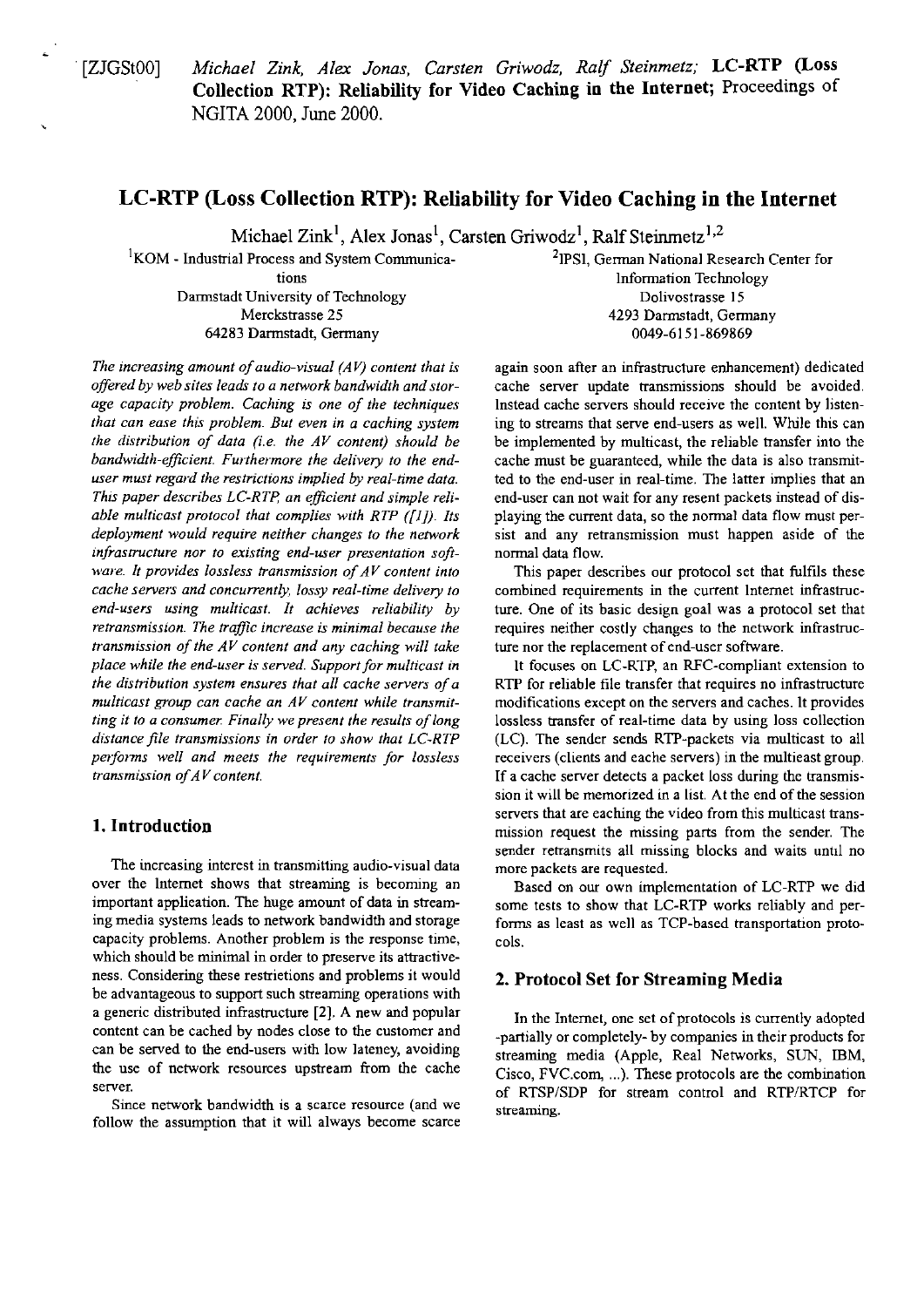**C** 

[ZJGStOO] *Michael Zink, Alex Jonas, Carsten Griwodz, Ray Steinmetz;* **LC-RTP (Loss Collection RTP): Reliability for Video Caching in the Internet;** Proceedings of NGITA 2000, June 2000.

# **LC-RTP (Loss Collection RTP): Reliability for Video Caching in the Internet**

Michael Zink<sup>1</sup>, Alex Jonas<sup>1</sup>, Carsten Griwodz<sup>1</sup>, Ralf Steinmetz<sup>1,2</sup>

 ${}^{1}$ KOM - Industrial Process and System Communica-  ${}^{2}$ IPSI, German National Research Center for Darmstadt University of Technology Dolivostrasse 15 Merckstrasse 25 4293 Darmstadt, Germany

tions and the Information Technology 64283 Darmstadt, Germany 0049-61 51 -869869

*The increasing amount of audio-visual (AY) content that is*  offered by web sites leads to a network bandwidth and stor*age capaciv pmblem. Caching is one of the techniques that can ease this problem. But even in a caching system rhe distribution of data (i.e. the AV content) should be*  bandwidth-efficient. Furthermore the delivery to the enduser must regard the restrictions implied by real-time data. This paper describes LC-RTP, an efficient and simple reli*able multicast protocol that complies with RTP ([1]). Its deployment would require neither changes to the network*  infrastructure nor to existing end-user presentation soft*ware. It provides lossless transmission of AV content into* cache servers and concurrently, lossy real-time delivery to end-users using multicast. It achieves reliability by *retransmission. The traffic increase is minimal because the transmission of the AV content und any caching will rake place while the end-user is served Support for multicast in the distribution system ensures that all cache servers af a multicast group can cache an AV content while transmitting it to a consumer. Finally we present the results of long distancefile transmissions in order 10 shaw thar LC-RTP pe1f01-ms well und meets the requirements far lassless transmission of AV content.* 

## **1. Introduction**

The increasing interest in transmitting audio-visual data over the lnternet shows that streaming is becoming an important applieation. The huge amount of data in streaming media systems leads to network bandwidth and storage capacity problerns. Another problem is the response time, which should be minimal in order to preserve its attractiveness. Considering these restrietions and problems it would be advantageous to support such streaming operations wiih a generic distributed infrastructure **[2]. A** new and popular content can be cached by nodes close to the customer and can be served to the end-users with low lateney, avoiding the use of network resources upstrearn from the cache server.

Since network bandwidth is a scarce resource (and we follow the assumption that it will always become scarce again soon after an infrastructure enhancement) dedicated cache server update transmissions should be avoided. lnstead cache servers should receive the content by Iistening to strearns that serve end-users as well. While this can be implemented by multicast, the reliable transfer into the cache must be guaranteed, while the data is also transmitted to the end-user in real-time. The latter implies that an end-user can not wait for any resent packets instead of displaying the current data, so the normal data flow must persist and any retransmission must happen aside of the normal data flow.

This paper describes our protocol set that fulfils these combined requirements in the current lnternet infrastructure. One of its basic design goal was a protocol set that requires neither costly changes to the network infrastructure nor the replacement of end-user software.

It focuses on LC-RTP, an RFC-compliant extension to RTP for reliable file transfer that requires no infrastructure rnodifications except on the servers and caches. lt provides lossless transfer of real-time data by using loss collection (LC). The sender sends RTP-packets via multicast to all receivers (clients and eache servers) in the multieast group. If a cache server detects a packet loss during the transrnission it will be memorized in a list. At the end of the session servers that are eaching the video from this multicast transmission request the missing parts from the sender. The sender retransrnits all missing blocks and waits until no more packets are requested.

Based on our own implementation of LC-RTP we did some tests to show that LC-RTP works reliably and performs as least as well as TCP-based transportation protocols.

## **2. Protocol Set for Streaming Media**

In the Intemet, one set of protocols is currently adopted -partially or cornpletely- by cornpanies in their products for streaming media (Apple, Real Networks, SUN, IBM, Cisco, FVC.com, ...). These protocols are the cornbination of RTSP/SDP for stream control and RTP/RTCP for streaming.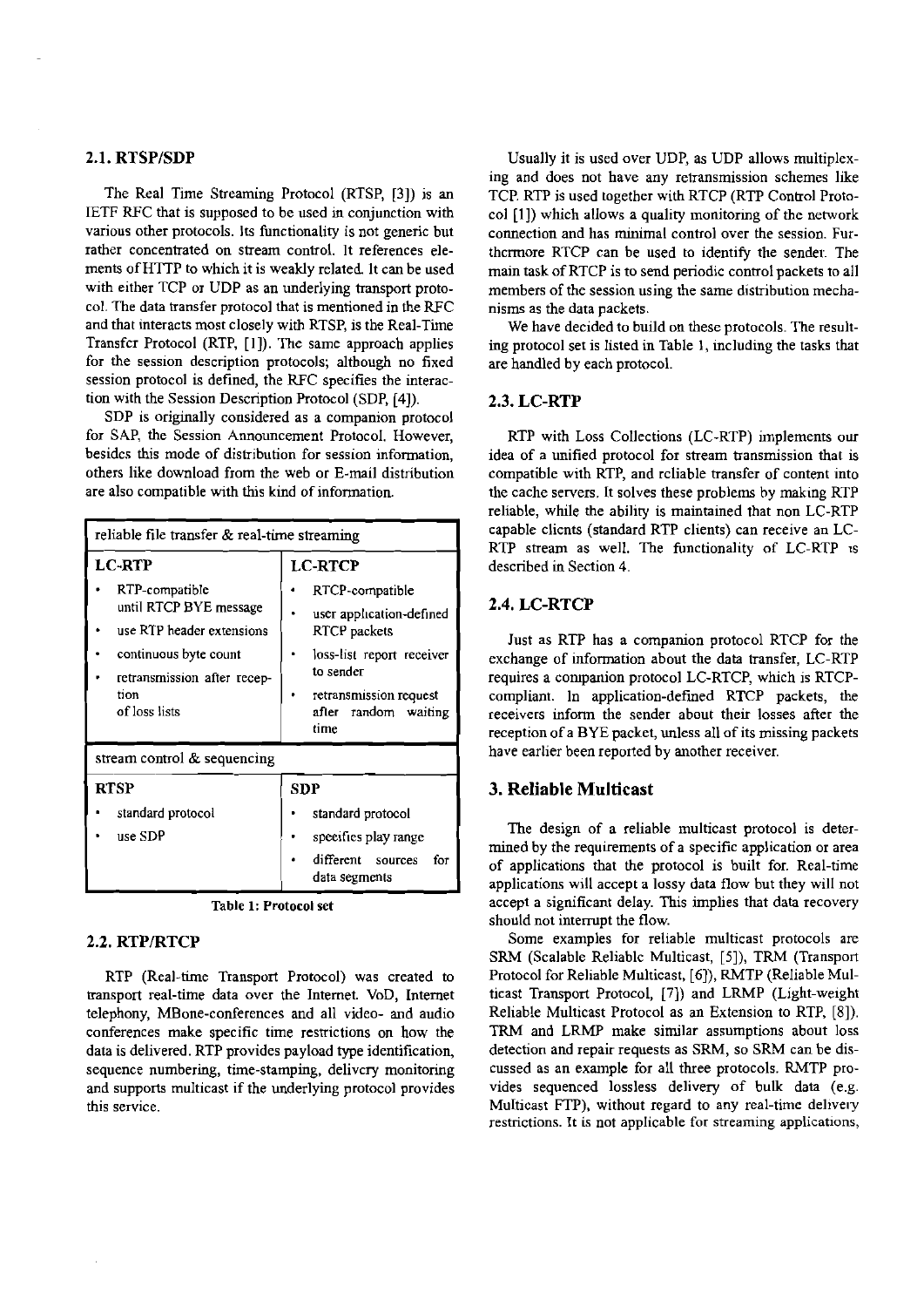#### 2.1. RTSP/SDP

The Real Time Streaming Protocol (RTSP, [3]) is an IETF RFC that is supposed to be used in conjunction with various other protocols. lts functionality is not generic but rather concentrated on stream control. It references elements of HTTP to which it is weakly related. It can be used with either TCP or UDP as an underlying transport protocol. The data transfer protocol that is mentioned in the RFC and that interacts most closely with RTSP, is the Real-Time Transfcr Protocol (RTP, [I]). The same approach applies for the session description protocols; althouph no fixed session protocol is defined, the RFC specifies the interaction with the Session Description Protocol (SDP, [4]).

SDP is originally considered as a companion protocol for SAP, the Session Amouncement Protocol. However, besidcs this mode of distribution for session infonnation, othess Iike download from the web or E-mail distribution are also compatible with this kind of information.

| reliable file transfer & real-time streaming                                                                                                           |                                                                                                                                                                 |  |  |  |
|--------------------------------------------------------------------------------------------------------------------------------------------------------|-----------------------------------------------------------------------------------------------------------------------------------------------------------------|--|--|--|
| <b>LC-RTP</b>                                                                                                                                          | <b>LC-RTCP</b>                                                                                                                                                  |  |  |  |
| RTP-compatible<br>until RTCP BYE message<br>use RTP header extensions<br>continuous byte count<br>retransmission after recep-<br>tion<br>of loss lists | RTCP-compatible<br>user application-defined<br>RTCP packets<br>loss-list report receiver<br>to sender<br>retransmission request<br>after random waiting<br>time |  |  |  |
| stream control & sequencing                                                                                                                            |                                                                                                                                                                 |  |  |  |
| <b>RTSP</b>                                                                                                                                            | <b>SDP</b>                                                                                                                                                      |  |  |  |
| standard protocol                                                                                                                                      | standard protocol                                                                                                                                               |  |  |  |
| use SDP                                                                                                                                                | specifies play range                                                                                                                                            |  |  |  |
|                                                                                                                                                        | different sources<br>fог<br>data segments                                                                                                                       |  |  |  |

Table 1: Protocol set

### 2.2. RTP/RTCP

RTP (Real-time Transport Protocol) was created to transport real-time data over the Internet. VoD, Internet telephony, MBone-conferences and all video- and audio conferences make specific time rcstrictions on how the data is delivered. RTP provides payload type identification, sequence numbering, time-stamping, delivery monitoring and Supports multicast if the underlying protocol provides this service.

Usually it is used over UDP, as UDP allows multiplexing and does not have any retransmission schemes like TCP. RTP is used together with RTCP (RTP Control Proto $col$  [1]) which allows a quality monitoring of the network connection and has minimal control over the session. Furthcmore RTCP can be used to identify the sender. The main task of RTCP is to send periodic control packets to all members of the session using the same distribution mechanisms as the data packets.

We have decided to build on these protocols. The resulting protocol set is listed in Table 1, including the tasks that are handled by each protocol.

#### **2.3. LC-RTP**

RTP with Loss Collections (LC-RTP) implements our idea of a unified protocol for stream transmission that is compatible with RTP, and rcliable transfer of content into the cache Servers. It solves these problems by making RTP reliable, while the ability is maintained that non LC-RTP capable clicnts (standard RTP clients) can receive an LC-RTP stream as well. The functionality of LC-RTP 1s described in Section 4.

### **2.4. LC-RTCP**

Just as RTP has a companion protocol RTCP for the exchange of infonnation about the data transfer, LC-RTP requires a companion protocol LC-RTCP, which is RTCPcompliant. In application-defined RTCP packets, the receivers inform the sender about their losses after the reception of a BYE packet, unless all of its missing packets have earlier been reported by another receiver.

### **3. Reliable Multicast**

The design of a reliable multicast protocol is determined by the requirements of a specific application or area of applications that the protocol is built for. Real-time applications will accept a lossy data flow but they will not accept a significant delay. This implies that data recovery should not interrupt the flow.

Some examples for reliable multicast protocols are SRM (Scalable Reliablc Multicast, [5]), TRM (Transport Protocol for Reliable Multicast, **[6]),** RMTP (Reliable Multicast Transport Protocol, **[7])** and LRMP (Light-weight Reliable Multicast Protocol as an Extension to RTP, (81). TRM and LRMP make similar assumptions about Ioss detection and repair requests as SRM, so SRM can be discussed as an examplc for all three protocols. RMTP provides sequenced lossless delivery of bulk data (e.g. MuIticast FTP), without regard to any real-time delivery restrictions. It is not applicable for streaming applications,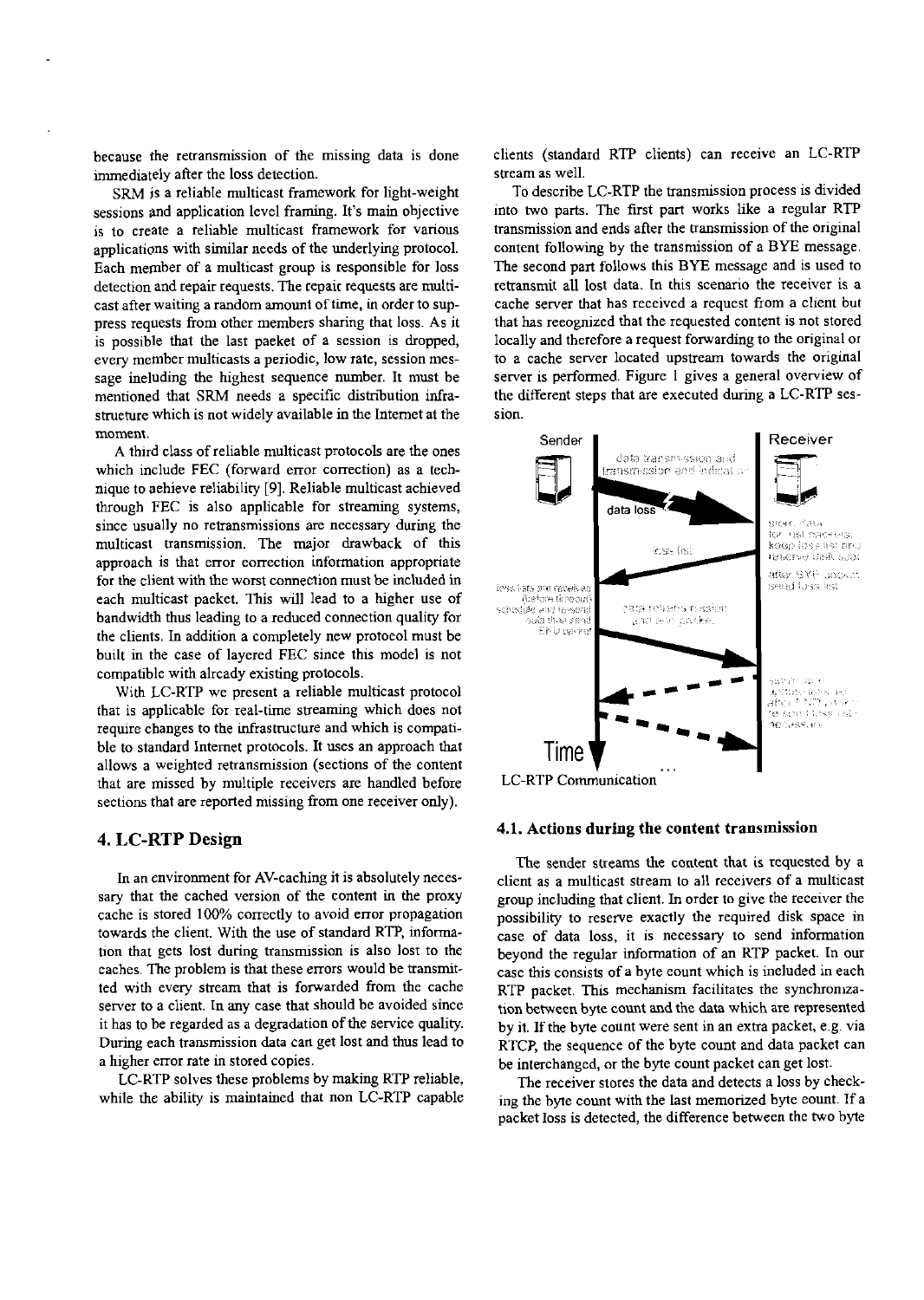because the retransmission of the missing data is done immediately afier the loss detection.

SRM is a reliable multicast framework for light-weight sessions and application level framing. It's main objective is to create a reliable multicast framework for various applications with similar needs of the underlying protocol. Each member of a multicast group is responsible for loss detection and repair requests. The repair requests are multi-Cast after waiting a random amount of time, in order to suppress requests from other members sbaring that loss. As it is possible that the last paeket of a session is dropped, every member multicasts a periodic, low rate, session message ineluding the highest sequence nurnber. It must be mentioned that SRM needs a specific distribution infrastructure which is not widely available in the Internet at the moment.

A third class of reliable multicast protocols are the ones which include FEC (forward error correction) as a technique to aebieve reliability **[9].** Reliable multicast achieved through FEC is also applicable for streaming systems, since usually no retransmissions are necessary during the multicast transmission. The major drawback of this approach is that error eorrection infotmation appropriate for the client with the worst connection must be included in each multicast paeket. This will lead to a higher use of bandwidth thus leading to a reduced connection quality for the clients. In addition a completely new proroeol must be built in the case of layered FEC since this model is not compatible with alrcady existing protocols.

With LC-RTP we present a reliable multicast protocol that is applicable for real-time streaming which does not require changes to the infrastructure and which is compatible to standard Internet protocols. It uses an approach that allows a weighted retransmission (sections of the content that are missed by multiple receivers are handled before sections that are reported missing from one receiver only).

### **4. LC-RTP Design**

In an environment for AV-caching it is absolutely necessary that the cached version of the content in the proxy cache is stored 100% correctly to avoid error propagation towards the client. With the use of standard RTP, information that gets lost during transmission is also lost to the caches. The problem is that these errors would be transmitted wjth every stream that is forwarded from the cache server to a client. In any case that should be avoided since it has to be regarded as a degradation of the service quality. During each transmission data can get lost and thus lead to a higher error rate in stored copies.

LC-RTP solves these problems by making RTP reliable, while the ability is maintained that non LC-RTP capable clients (standard RTP clients) can receive an LC-RTP stream as well.

To describe LC-RTP the transmission process is divided into two parts. The first part works like a regular RTP transmission and ends after the transmission of the original content following by the transmission of a BYE message. The second part follows this BYE message and is used to retransmit all lost data. In this scenario the receiver is a cache server tbat has received a request from a client but that has reeognized that the requested content is not stored locally and therefore a request forwarding to the original or to a cache server located upstream towards the original server is performed. Figure 1 gives a general overview of the different steps that are executed during a LC-RTP session.



#### **4.1. Actions during the content transmission**

The sender streams the content that is requested by a client as a multicast stream to all receivers of a multicast group including that client. In order to give the receiver the possibility to reserve exactly the required disk space in case of data loss, it is necessary to send infotmation beyond the regular information of an RTP packet. In our case this consists of a byte eount which is ineluded in each RTP packet. This mechanism facilitates the synchronization between byte count and the data which are represented by it. If the byte count were sent in an extra packet, e.g. via RTCP, the sequence of the byte count and data packet can be interchanged, or the byte count packet can get lost.

The receiver stores the data and detects a loss by checking the byte count with the last memorized byte eount. If a packet Ioss is detected, the difference between the two byte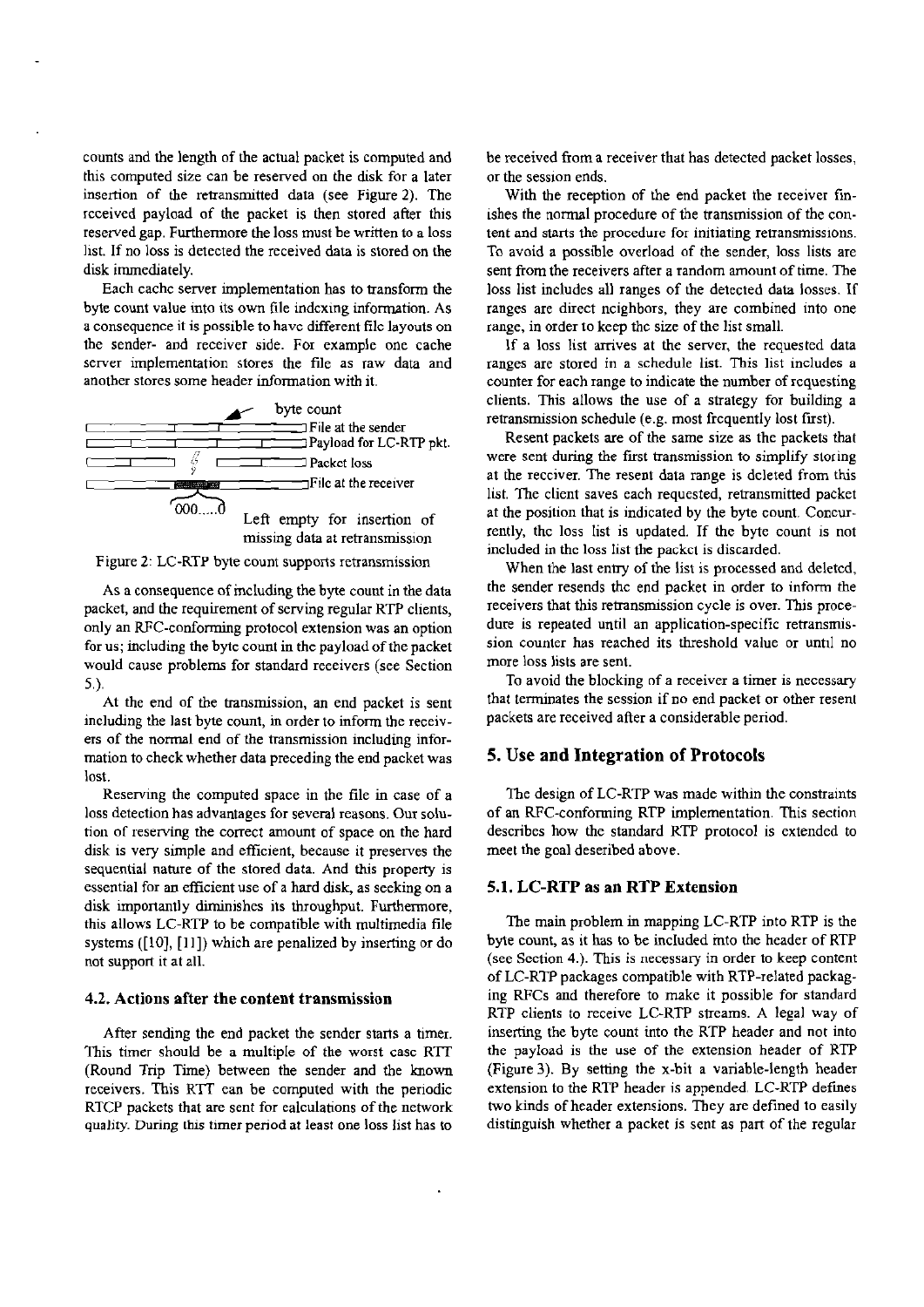Counts and the length of the actual packet is computed and this computed size can be reserved on the disk for a later insertion of the retransmitted data (see Figure **2).** The rcceived payload of the packet is then stored after this reserved gap. Furthermore the loss must be written to a loss list. If no loss is detected the received data is stored on the disk immediately.

Each cache server implementation has to transform the byte count value into its own file indcxing information. As a consequence it is possible to havc different filc layouts on the sender- and receiver side. For example one cache server implementation stores the file as raw data and another stores some header information with it.





As a consequence of mcluding the byte count in the data packet, and the requirement of serving regular RTP clients, only an RFC-confoming protocol extension was an option for us; including the bytc count in the payload of the packet would cause problems for standard reeeivers (see Section *5.).* 

At the end of the transmission, an end packet is sent including the last hyte count, in order to inform the receivers of the normal end of the transmission including information to check whether data preceding the end packet was lost.

Reserving the computed space in the file in case of a loss detection has advantages for several reasons. Our solution of reserving the correct amount of space on the hard disk is very simple and efficient, because it preserves the sequential nature of the stored data. And this property is essential for an efficient use of a hard disk, as seeking on a disk importantly diminishes its throughput. Furthermore, this allows LC-RTP to be compatible with multimedia file systems  $([10], [11])$  which are penalized by inserting or do not support it at all.

#### **4.2. Actions after the content transmission**

After sending the end packet the sender starts a hmer. This timer should be a multiple of the worst case RTT (Round Trip Time) between the sender and tbe known receivers. This RTT ean be computed with the periodic RTCP packets that are sent for ealculations of the network **quality** During this timer penod at least one loss list has to

be received froma receiver that has detected packet losses, or the session ends.

With the reception of the end packet the receiver finishes the normal procedure of the transmission of the content and starts the procedure for initiating retransmissions. To avoid a possible overload of the sender, loss lists are sent from the receivers after a random amount of time. The loss list includes all ranges of the detected data losses. If ranges are direct ncighbors, they are combined into one range, in order to keep the size of the list small.

If a loss list arrives at the server, the requested data ranges are stored in a schedule list. This list includes a counter for each range to indicate the number of requesting clients. This allows the use of a strategy for building a retransmission schedule (e.g. most frequently lost first).

Resent packets are of the same size as the packets that were sent during the first transmission to simplify storing at the recciver. The resent data range is dcleted from this list. The client saves each requested, retransmitted packet at the position that is indicated by the byte count. Concurrently, thc loss list is updated. If the byte count is not included in thc loss list the packct is discarded.

When the last entry of the list is processed and deletcd, the sender resends the end packet in order to inform the receivers that this retransmission cycle is over. This procedure is repeated until an application-specific retransmission Counter has reached its threshold value or until no more loss lists are sent.

To avoid the blocking nf a receiver a timer is necessary tbat terminates the session if no end packet or other reseni packets are received after a considerable period.

#### **5. Use and Integration of Protocols**

The design of LC-RTP was made within the constraints of an WC-confoming RTP implementation. This secrion describes how the standard RTP protocol is extended to meet the goal deseribed above.

#### **5.1. LC-RTP as an RTP Extension**

The main problem in mapping LC-RTP into RTP is the byte count, as it has to be included mto the header of RTP (see Section 4.). This is necessary in order to keep content of LC-RTP packages compatible with RTP-related packaging RFCs and therefore to make it possible for standard RTP clients to receive LC-RTP streams. A legal way of inserting the byte count into the RTP header and not into the payload is the use of the extension header of RTP (Figure **3).** By setiing the X-bit a variable-length header extension to the RTP header is appended. LC-RTP defines two kinds of header extensions. They are defined to easily distinguish whether a packet is sent as part of the regular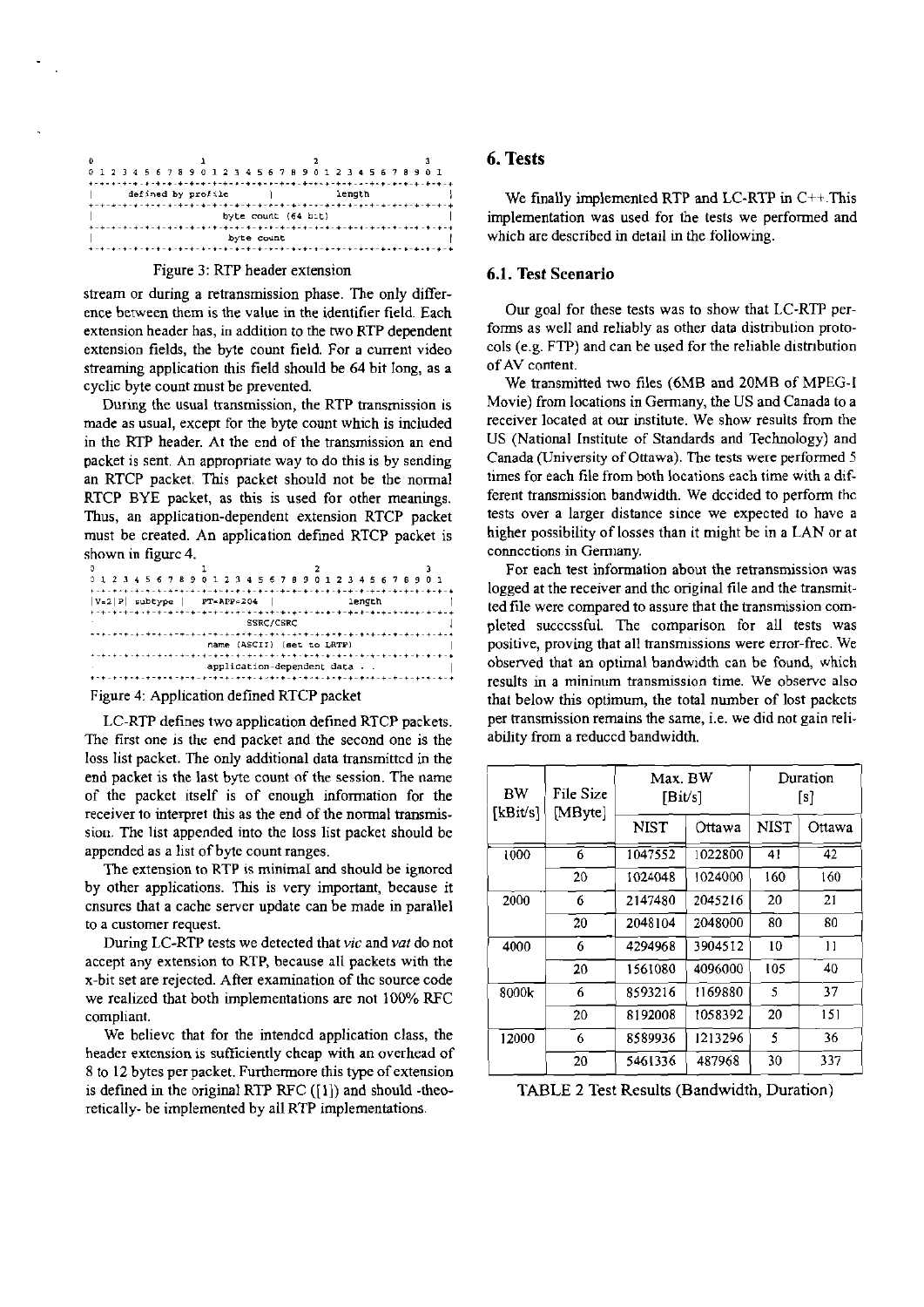| $\mathbf{O}$<br>0 1 2 3 4 5 6 7 8 9 0 1 2 3 4 5 6 7 8 9 0 1 2 3 4 5 6 7 8 9 0 1 | 6. Tests                                               |
|---------------------------------------------------------------------------------|--------------------------------------------------------|
| defined by profile<br>length                                                    | We finally implemented RTP and LC-RTP in $C++$ . This  |
| byte count (64 bit)                                                             | implementation was used for the tests we performed and |
| byte count                                                                      | which are described in detail in the following.        |
|                                                                                 |                                                        |

#### Figure 3: RTP header extension

stream or during a retransmission phase. The only difference between them is the value in the identifier field. Each extension header has, in addition to the two RTP dependent extension fields, the byte count field. For a current video streaming application this field should be **64** bit long, as a cyclic byte count must be prevented.

During the usual transmission, the RTP transrnission is made as usual, except for the hyte count which is included in the RTP header. At the end of the transmission an end packet is sent. An appropriate way to do this is by sending an RTCP packet. This packet should not be the normal RTCP BYE packet, as this is used for other meanings. Thus, an application-dependent extension RTCP packet must be created. An application defined RTCP packet is shown in figure 4.

|                                              | For eac.                                 |
|----------------------------------------------|------------------------------------------|
| 01234567890123456789012345678901             | logged at tl                             |
| $ V=2 P $ subtype   $PT=APP=204$  <br>length | ted file wei                             |
| SSRC/CSRC                                    | pleted suc                               |
| name (ASCII) (set to LRTP)                   | positive, pi                             |
| application-dependent data                   | observed t<br>بالمستار المعاقد والمستحدة |

Figure 4: Application defined RTCP packet

LC-RTP defines two application defined RTCP packets. The first one is **the** end packet and the second one is the loss list packet. The only additional data transmittcd in the end packet is the last byte count of the session. The name of the packet itself is of enough infomation for the receiver to interpret this as the end of the normal transmission. The list appended into the loss list packet should be appended as a list of byte count ranges.

The extension to RTP is rninimaI and should be ignorcd by other applications. This is very important, because it cnsures that a cache server update can be rnade in parallel to a customer request.

During LC-RTP tests we detected that *vic* and **vat** do not accept any extension to RTP, hecause alt packets with the x-bit set are rejected. After examination of the source code we realized that both implementations are not 100% RFC compliant.

We believc that for the intendcd application class, the header extension is sufficienty chcap with an overhead of 8 to **12** bytes per packet. Furthermore this type of extension is defmed in the original RTP RFC ([I]) and should -theoretically- be implemented by all RTP implementations.

### *6.* **Tests**

#### **6.1. Test Scenario**

Our goal for these tests was to show that LC-RTP perfonns as well and reliably as other data distribution protocols (e.g. FTP) and can be used for the reliable distnbution of AV content.

We transmitted two files (6MB and **2OMB** of MPEG-I Movie) from locations in Gemany, the US and Canada to a receiver located at our institute. We show results from the US (National Institute of Standards and Technology) and Canada (University of Ottawa). The tests were performed **5**  times for each file from both locations each time with a different transmission bandwidth. We dccided to perform the tests over a larger distance since we expected to have a higher possibility of losses than it might be in a LAN or at connections in Germany.

..+~\*.\*~\*~\*.+~+~\*~+~\*~\*~+~..\*~\*~\*-+~\*-\*~\*~.-\*~\*~.-\*~+..~\*~\*.\*~\*.. pleted succcssful. The cornparison for all tests was  $r_1, \ldots, r_{r_1}, \ldots, r_{r_2}, \ldots, r_{r_1}, \ldots, r_{r_2}, \ldots, r_{r_1}, \ldots, r_{r_2}, \ldots, r_{r_r}, \ldots, r_{r_r}, \ldots, r_{r_r}, \ldots, r_{r_r}, \ldots, r_{r_r}, \ldots, r_{r_r}, \ldots, r_{r_r}, \ldots, r_{r_r}, \ldots, r_{r_r}, \ldots, r_{r_r}, \ldots, r_{r_r}, \ldots, r_{r_r}, \ldots, r_{r_r}, \ldots, r_{r_r}, \ldots, r_{r_r}, \ldots, r_{r_r}, \ldots, r_{r_r}, \ldots$ For each test information about the retransmission was logged at the receiver and thc original file and the transmitted file were compared to assure that the transmission compositive, proving that all transmissions were error-frec. We observed that an optimal bandwidth can be found, which that below this optimurn, the total number of lost packcts per transmission remains the same, i.e. we did not gain reliability from a reduccd bandwidth.

| RW<br>[kBit/s] | File Size<br>[MByte] | Max. BW<br>[Bit/s] |         | Duration<br>[s] |        |
|----------------|----------------------|--------------------|---------|-----------------|--------|
|                |                      | NIST               | Ottawa  | NIST            | Ottawa |
| 1000           | 6                    | 1047552            | 1022800 | 41              | 42     |
|                | 20                   | 1024048            | 1024000 | 160             | 160    |
| 2000           | 6                    | 2147480            | 2045216 | 20              | 21     |
|                | 20                   | 2048104            | 2048000 | 80              | 80     |
| 4000           | 6                    | 4294968            | 3904512 | 10              | 11     |
|                | 20                   | 1561080            | 4096000 | 105             | 40     |
| 8000k          | 6                    | 8593216            | 1169880 | 5               | 37     |
|                | 20                   | 8192008            | 1058392 | 20              | 151    |
| 12000          | 6                    | 8589936            | 1213296 | 5               | 36     |
|                | 20                   | 5461336            | 487968  | 30              | 337    |

TABLE 2 Test Results (Bandwidth, Duration)